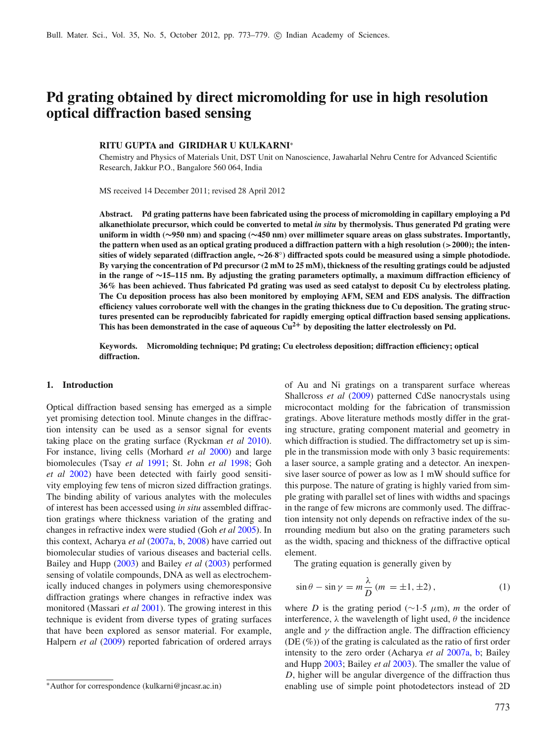# **Pd grating obtained by direct micromolding for use in high resolution optical diffraction based sensing**

# **RITU GUPTA and GIRIDHAR U KULKARNI<sup>∗</sup>**

Chemistry and Physics of Materials Unit, DST Unit on Nanoscience, Jawaharlal Nehru Centre for Advanced Scientific Research, Jakkur P.O., Bangalore 560 064, India

MS received 14 December 2011; revised 28 April 2012

**Abstract. Pd grating patterns have been fabricated using the process of micromolding in capillary employing a Pd alkanethiolate precursor, which could be converted to metal** *in situ* **by thermolysis. Thus generated Pd grating were uniform in width (**∼**950 nm) and spacing (**∼**450 nm) over millimeter square areas on glass substrates. Importantly, the pattern when used as an optical grating produced a diffraction pattern with a high resolution (**>**2000); the intensities of widely separated (diffraction angle,** ∼**26**·**8** ◦ **) diffracted spots could be measured using a simple photodiode. By varying the concentration of Pd precursor (2 mM to 25 mM), thickness of the resulting gratings could be adjusted in the range of** ∼**15–115 nm. By adjusting the grating parameters optimally, a maximum diffraction efficiency of 36% has been achieved. Thus fabricated Pd grating was used as seed catalyst to deposit Cu by electroless plating. The Cu deposition process has also been monitored by employing AFM, SEM and EDS analysis. The diffraction efficiency values corroborate well with the changes in the grating thickness due to Cu deposition. The grating structures presented can be reproducibly fabricated for rapidly emerging optical diffraction based sensing applications. This has been demonstrated in the case of aqueous Cu2**<sup>+</sup> **by depositing the latter electrolessly on Pd.**

**Keywords. Micromolding technique; Pd grating; Cu electroless deposition; diffraction efficiency; optical diffraction.**

## **1. Introduction**

Optical diffraction based sensing has emerged as a simple yet promising detection tool. Minute changes in the diffraction intensity can be used as a sensor signal for events taking place on the grating surface (Ryckman *et al* 2010). For instance, living cells (Morhard *et al* 2000) and large biomolecules (Tsay *et al* 1991; St. John *et al* 1998; Goh *et al* 2002) have been detected with fairly good sensitivity employing few tens of micron sized diffraction gratings. The binding ability of various analytes with the molecules of interest has been accessed using *in situ* assembled diffraction gratings where thickness variation of the grating and changes in refractive index were studied (Goh *et al* 2005). In this context, Acharya *et al* (2007a, b, 2008) have carried out biomolecular studies of various diseases and bacterial cells. Bailey and Hupp (2003) and Bailey *et al* (2003) performed sensing of volatile compounds, DNA as well as electrochemically induced changes in polymers using chemoresponsive diffraction gratings where changes in refractive index was monitored (Massari *et al* 2001). The growing interest in this technique is evident from diverse types of grating surfaces that have been explored as sensor material. For example, Halpern *et al* (2009) reported fabrication of ordered arrays of Au and Ni gratings on a transparent surface whereas Shallcross *et al* (2009) patterned CdSe nanocrystals using microcontact molding for the fabrication of transmission gratings. Above literature methods mostly differ in the grating structure, grating component material and geometry in which diffraction is studied. The diffractometry set up is simple in the transmission mode with only 3 basic requirements: a laser source, a sample grating and a detector. An inexpensive laser source of power as low as 1 mW should suffice for this purpose. The nature of grating is highly varied from simple grating with parallel set of lines with widths and spacings in the range of few microns are commonly used. The diffraction intensity not only depends on refractive index of the surrounding medium but also on the grating parameters such as the width, spacing and thickness of the diffractive optical element.

The grating equation is generally given by

$$
\sin \theta - \sin \gamma = m \frac{\lambda}{D} (m = \pm 1, \pm 2), \qquad (1)
$$

where *D* is the grating period ( $\sim$ 1.5  $\mu$ m), *m* the order of interference,  $\lambda$  the wavelength of light used,  $\theta$  the incidence angle and  $\gamma$  the diffraction angle. The diffraction efficiency (DE (%)) of the grating is calculated as the ratio of first order intensity to the zero order (Acharya *et al* 2007a, b; Bailey and Hupp 2003; Bailey *et al* 2003). The smaller the value of *D*, higher will be angular divergence of the diffraction thus enabling use of simple point photodetectors instead of 2D

<sup>∗</sup>Author for correspondence (kulkarni@jncasr.ac.in)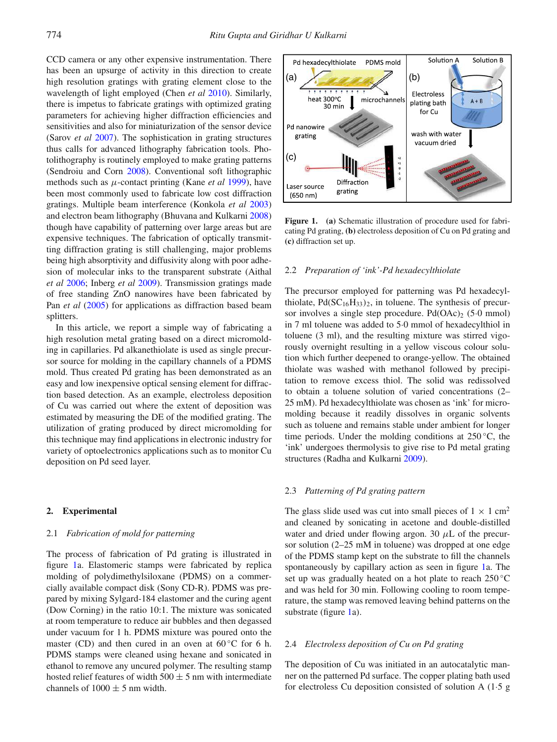CCD camera or any other expensive instrumentation. There has been an upsurge of activity in this direction to create high resolution gratings with grating element close to the wavelength of light employed (Chen *et al* 2010). Similarly, there is impetus to fabricate gratings with optimized grating parameters for achieving higher diffraction efficiencies and sensitivities and also for miniaturization of the sensor device (Sarov *et al* 2007). The sophistication in grating structures thus calls for advanced lithography fabrication tools. Photolithography is routinely employed to make grating patterns (Sendroiu and Corn 2008). Conventional soft lithographic methods such as µ-contact printing (Kane *et al* 1999), have been most commonly used to fabricate low cost diffraction gratings. Multiple beam interference (Konkola *et al* 2003) and electron beam lithography (Bhuvana and Kulkarni 2008) though have capability of patterning over large areas but are expensive techniques. The fabrication of optically transmitting diffraction grating is still challenging, major problems being high absorptivity and diffusivity along with poor adhesion of molecular inks to the transparent substrate (Aithal *et al* 2006; Inberg *et al* 2009). Transmission gratings made of free standing ZnO nanowires have been fabricated by Pan *et al* (2005) for applications as diffraction based beam splitters.

In this article, we report a simple way of fabricating a high resolution metal grating based on a direct micromolding in capillaries. Pd alkanethiolate is used as single precursor source for molding in the capillary channels of a PDMS mold. Thus created Pd grating has been demonstrated as an easy and low inexpensive optical sensing element for diffraction based detection. As an example, electroless deposition of Cu was carried out where the extent of deposition was estimated by measuring the DE of the modified grating. The utilization of grating produced by direct micromolding for this technique may find applications in electronic industry for variety of optoelectronics applications such as to monitor Cu deposition on Pd seed layer.

## **2. Experimental**

## 2.1 *Fabrication of mold for patterning*

The process of fabrication of Pd grating is illustrated in figure 1a. Elastomeric stamps were fabricated by replica molding of polydimethylsiloxane (PDMS) on a commercially available compact disk (Sony CD-R). PDMS was prepared by mixing Sylgard-184 elastomer and the curing agent (Dow Corning) in the ratio 10:1. The mixture was sonicated at room temperature to reduce air bubbles and then degassed under vacuum for 1 h. PDMS mixture was poured onto the master (CD) and then cured in an oven at  $60^{\circ}$ C for 6 h. PDMS stamps were cleaned using hexane and sonicated in ethanol to remove any uncured polymer. The resulting stamp hosted relief features of width  $500 \pm 5$  nm with intermediate channels of  $1000 \pm 5$  nm width.



**Figure 1. (a)** Schematic illustration of procedure used for fabricating Pd grating, **(b)** electroless deposition of Cu on Pd grating and **(c)** diffraction set up.

# 2.2 *Preparation of 'ink'-Pd hexadecylthiolate*

The precursor employed for patterning was Pd hexadecylthiolate,  $Pd(SC_{16}H_{33})_2$ , in toluene. The synthesis of precursor involves a single step procedure. Pd $(OAc)$ <sub>2</sub> (5·0 mmol) in 7 ml toluene was added to 5·0 mmol of hexadecylthiol in toluene (3 ml), and the resulting mixture was stirred vigorously overnight resulting in a yellow viscous colour solution which further deepened to orange-yellow. The obtained thiolate was washed with methanol followed by precipitation to remove excess thiol. The solid was redissolved to obtain a toluene solution of varied concentrations (2– 25 mM). Pd hexadecylthiolate was chosen as 'ink' for micromolding because it readily dissolves in organic solvents such as toluene and remains stable under ambient for longer time periods. Under the molding conditions at  $250^{\circ}$ C, the 'ink' undergoes thermolysis to give rise to Pd metal grating structures (Radha and Kulkarni 2009).

#### 2.3 *Patterning of Pd grating pattern*

The glass slide used was cut into small pieces of  $1 \times 1$  cm<sup>2</sup> and cleaned by sonicating in acetone and double-distilled water and dried under flowing argon. 30  $\mu$ L of the precursor solution (2–25 mM in toluene) was dropped at one edge of the PDMS stamp kept on the substrate to fill the channels spontaneously by capillary action as seen in figure 1a. The set up was gradually heated on a hot plate to reach 250 °C and was held for 30 min. Following cooling to room temperature, the stamp was removed leaving behind patterns on the substrate (figure 1a).

#### 2.4 *Electroless deposition of Cu on Pd grating*

The deposition of Cu was initiated in an autocatalytic manner on the patterned Pd surface. The copper plating bath used for electroless Cu deposition consisted of solution A (1·5 g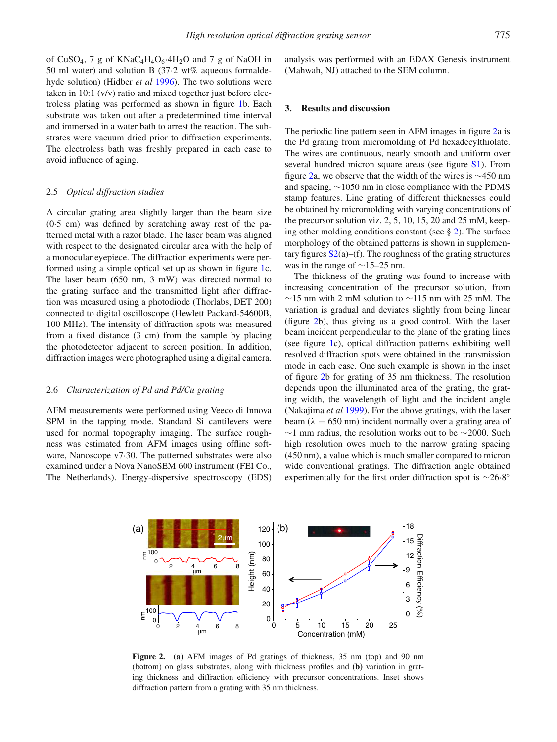of CuSO<sub>4</sub>, 7 g of KNaC<sub>4</sub>H<sub>4</sub>O<sub>6</sub> $4H_2O$  and 7 g of NaOH in 50 ml water) and solution B (37·2 wt% aqueous formaldehyde solution) (Hidber *et al* 1996). The two solutions were taken in 10:1 (v/v) ratio and mixed together just before electroless plating was performed as shown in figure 1b. Each substrate was taken out after a predetermined time interval and immersed in a water bath to arrest the reaction. The substrates were vacuum dried prior to diffraction experiments. The electroless bath was freshly prepared in each case to avoid influence of aging.

#### 2.5 *Optical diffraction studies*

A circular grating area slightly larger than the beam size (0·5 cm) was defined by scratching away rest of the patterned metal with a razor blade. The laser beam was aligned with respect to the designated circular area with the help of a monocular eyepiece. The diffraction experiments were performed using a simple optical set up as shown in figure 1c. The laser beam (650 nm, 3 mW) was directed normal to the grating surface and the transmitted light after diffraction was measured using a photodiode (Thorlabs, DET 200) connected to digital oscilloscope (Hewlett Packard-54600B, 100 MHz). The intensity of diffraction spots was measured from a fixed distance (3 cm) from the sample by placing the photodetector adjacent to screen position. In addition, diffraction images were photographed using a digital camera.

# 2.6 *Characterization of Pd and Pd/Cu grating*

AFM measurements were performed using Veeco di Innova SPM in the tapping mode. Standard Si cantilevers were used for normal topography imaging. The surface roughness was estimated from AFM images using offline software, Nanoscope v7·30. The patterned substrates were also examined under a Nova NanoSEM 600 instrument (FEI Co., The Netherlands). Energy-dispersive spectroscopy (EDS) analysis was performed with an EDAX Genesis instrument (Mahwah, NJ) attached to the SEM column.

#### **3. Results and discussion**

The periodic line pattern seen in AFM images in figure 2a is the Pd grating from micromolding of Pd hexadecylthiolate. The wires are continuous, nearly smooth and uniform over several hundred micron square areas (see figure S1). From figure 2a, we observe that the width of the wires is ∼450 nm and spacing, ∼1050 nm in close compliance with the PDMS stamp features. Line grating of different thicknesses could be obtained by micromolding with varying concentrations of the precursor solution viz. 2, 5, 10, 15, 20 and 25 mM, keeping other molding conditions constant (see  $\S$  2). The surface morphology of the obtained patterns is shown in supplementary figures  $S_2(a)$ –(f). The roughness of the grating structures was in the range of ∼15–25 nm.

The thickness of the grating was found to increase with increasing concentration of the precursor solution, from  $∼15$  nm with 2 mM solution to  $∼115$  nm with 25 mM. The variation is gradual and deviates slightly from being linear (figure 2b), thus giving us a good control. With the laser beam incident perpendicular to the plane of the grating lines (see figure 1c), optical diffraction patterns exhibiting well resolved diffraction spots were obtained in the transmission mode in each case. One such example is shown in the inset of figure 2b for grating of 35 nm thickness. The resolution depends upon the illuminated area of the grating, the grating width, the wavelength of light and the incident angle (Nakajima *et al* 1999). For the above gratings, with the laser beam ( $\lambda = 650$  nm) incident normally over a grating area of  $∼1$  mm radius, the resolution works out to be  $∼2000$ . Such high resolution owes much to the narrow grating spacing (450 nm), a value which is much smaller compared to micron wide conventional gratings. The diffraction angle obtained experimentally for the first order diffraction spot is ~26.8°



**Figure 2. (a)** AFM images of Pd gratings of thickness, 35 nm (top) and 90 nm (bottom) on glass substrates, along with thickness profiles and **(b)** variation in grating thickness and diffraction efficiency with precursor concentrations. Inset shows diffraction pattern from a grating with 35 nm thickness.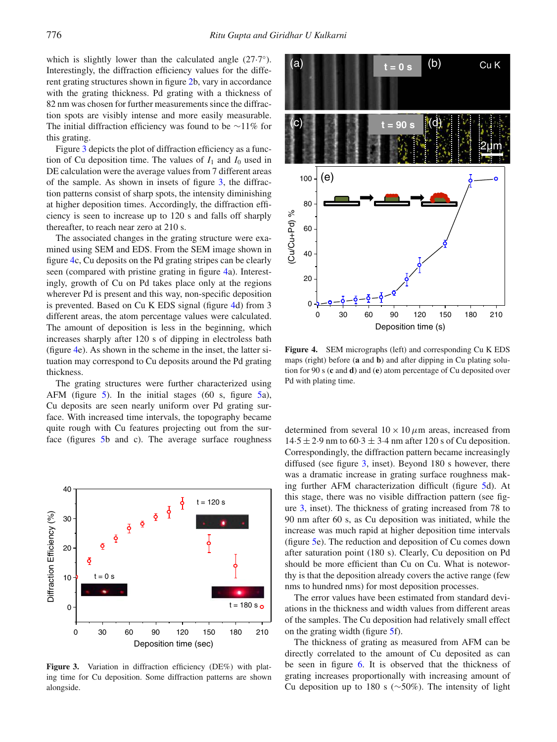which is slightly lower than the calculated angle  $(27.7^{\circ})$ . Interestingly, the diffraction efficiency values for the different grating structures shown in figure 2b, vary in accordance with the grating thickness. Pd grating with a thickness of 82 nm was chosen for further measurements since the diffraction spots are visibly intense and more easily measurable. The initial diffraction efficiency was found to be ∼11% for this grating.

Figure 3 depicts the plot of diffraction efficiency as a function of Cu deposition time. The values of  $I_1$  and  $I_0$  used in DE calculation were the average values from 7 different areas of the sample. As shown in insets of figure 3, the diffraction patterns consist of sharp spots, the intensity diminishing at higher deposition times. Accordingly, the diffraction efficiency is seen to increase up to 120 s and falls off sharply thereafter, to reach near zero at 210 s.

The associated changes in the grating structure were examined using SEM and EDS. From the SEM image shown in figure 4c, Cu deposits on the Pd grating stripes can be clearly seen (compared with pristine grating in figure 4a). Interestingly, growth of Cu on Pd takes place only at the regions wherever Pd is present and this way, non-specific deposition is prevented. Based on Cu K EDS signal (figure 4d) from 3 different areas, the atom percentage values were calculated. The amount of deposition is less in the beginning, which increases sharply after 120 s of dipping in electroless bath (figure 4e). As shown in the scheme in the inset, the latter situation may correspond to Cu deposits around the Pd grating thickness.

The grating structures were further characterized using AFM (figure 5). In the initial stages (60 s, figure 5a), Cu deposits are seen nearly uniform over Pd grating surface. With increased time intervals, the topography became quite rough with Cu features projecting out from the surface (figures 5b and c). The average surface roughness



**Figure 3.** Variation in diffraction efficiency (DE%) with plating time for Cu deposition. Some diffraction patterns are shown alongside.



**Figure 4.** SEM micrographs (left) and corresponding Cu K EDS maps (right) before (**a** and **b**) and after dipping in Cu plating solution for 90 s (**c** and **d**) and (**e**) atom percentage of Cu deposited over Pd with plating time.

determined from several  $10 \times 10 \mu$ m areas, increased from  $14.5 \pm 2.9$  nm to  $60.3 \pm 3.4$  nm after 120 s of Cu deposition. Correspondingly, the diffraction pattern became increasingly diffused (see figure 3, inset). Beyond 180 s however, there was a dramatic increase in grating surface roughness making further AFM characterization difficult (figure 5d). At this stage, there was no visible diffraction pattern (see figure 3, inset). The thickness of grating increased from 78 to 90 nm after 60 s, as Cu deposition was initiated, while the increase was much rapid at higher deposition time intervals (figure 5e). The reduction and deposition of Cu comes down after saturation point (180 s). Clearly, Cu deposition on Pd should be more efficient than Cu on Cu. What is noteworthy is that the deposition already covers the active range (few nms to hundred nms) for most deposition processes.

The error values have been estimated from standard deviations in the thickness and width values from different areas of the samples. The Cu deposition had relatively small effect on the grating width (figure 5f).

The thickness of grating as measured from AFM can be directly correlated to the amount of Cu deposited as can be seen in figure 6. It is observed that the thickness of grating increases proportionally with increasing amount of Cu deposition up to 180 s (∼50%). The intensity of light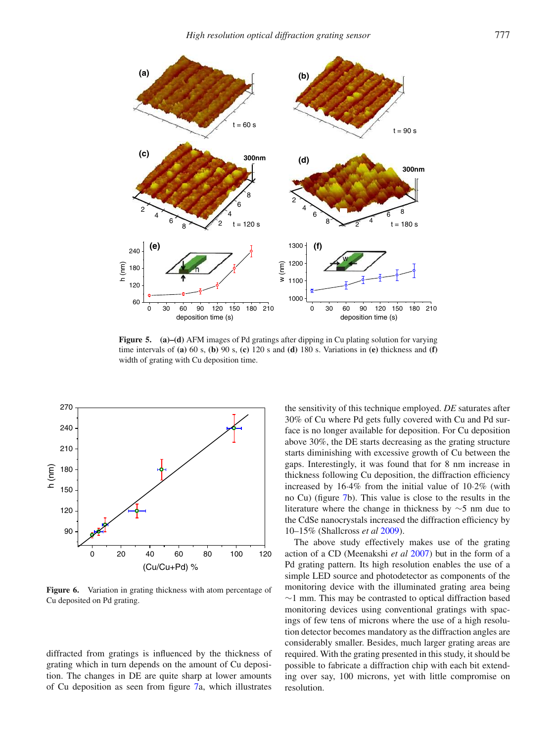

**Figure 5. (a)–(d)** AFM images of Pd gratings after dipping in Cu plating solution for varying time intervals of **(a)** 60 s, **(b)** 90 s, **(c)** 120 s and **(d)** 180 s. Variations in **(e)** thickness and **(f)** width of grating with Cu deposition time.



**Figure 6.** Variation in grating thickness with atom percentage of Cu deposited on Pd grating.

diffracted from gratings is influenced by the thickness of grating which in turn depends on the amount of Cu deposition. The changes in DE are quite sharp at lower amounts of Cu deposition as seen from figure 7a, which illustrates the sensitivity of this technique employed. *DE* saturates after 30% of Cu where Pd gets fully covered with Cu and Pd surface is no longer available for deposition. For Cu deposition above 30%, the DE starts decreasing as the grating structure starts diminishing with excessive growth of Cu between the gaps. Interestingly, it was found that for 8 nm increase in thickness following Cu deposition, the diffraction efficiency increased by 16·4% from the initial value of 10·2% (with no Cu) (figure 7b). This value is close to the results in the literature where the change in thickness by ∼5 nm due to the CdSe nanocrystals increased the diffraction efficiency by 10–15% (Shallcross *et al* 2009).

The above study effectively makes use of the grating action of a CD (Meenakshi *et al* 2007) but in the form of a Pd grating pattern. Its high resolution enables the use of a simple LED source and photodetector as components of the monitoring device with the illuminated grating area being ∼1 mm. This may be contrasted to optical diffraction based monitoring devices using conventional gratings with spacings of few tens of microns where the use of a high resolution detector becomes mandatory as the diffraction angles are considerably smaller. Besides, much larger grating areas are required. With the grating presented in this study, it should be possible to fabricate a diffraction chip with each bit extending over say, 100 microns, yet with little compromise on resolution.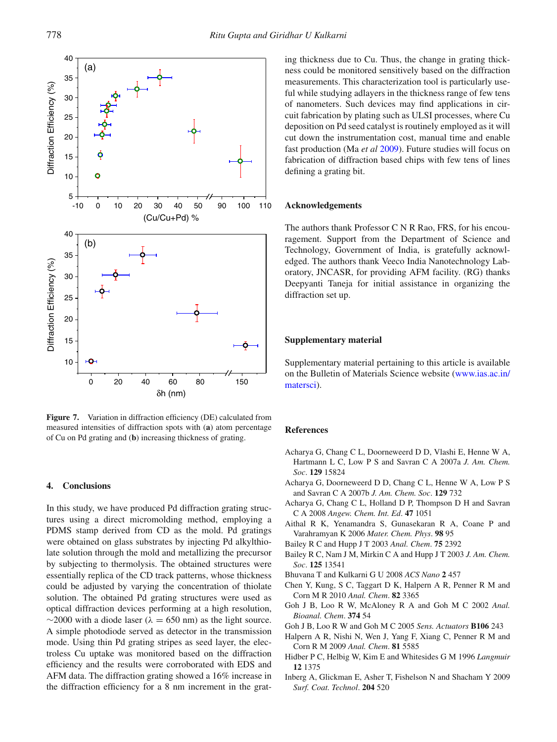

**Figure 7.** Variation in diffraction efficiency (DE) calculated from measured intensities of diffraction spots with (**a**) atom percentage of Cu on Pd grating and (**b**) increasing thickness of grating.

#### **4. Conclusions**

In this study, we have produced Pd diffraction grating structures using a direct micromolding method, employing a PDMS stamp derived from CD as the mold. Pd gratings were obtained on glass substrates by injecting Pd alkylthiolate solution through the mold and metallizing the precursor by subjecting to thermolysis. The obtained structures were essentially replica of the CD track patterns, whose thickness could be adjusted by varying the concentration of thiolate solution. The obtained Pd grating structures were used as optical diffraction devices performing at a high resolution,  $\sim$ 2000 with a diode laser ( $\lambda = 650$  nm) as the light source. A simple photodiode served as detector in the transmission mode. Using thin Pd grating stripes as seed layer, the electroless Cu uptake was monitored based on the diffraction efficiency and the results were corroborated with EDS and AFM data. The diffraction grating showed a 16% increase in the diffraction efficiency for a 8 nm increment in the grating thickness due to Cu. Thus, the change in grating thickness could be monitored sensitively based on the diffraction measurements. This characterization tool is particularly useful while studying adlayers in the thickness range of few tens of nanometers. Such devices may find applications in circuit fabrication by plating such as ULSI processes, where Cu deposition on Pd seed catalyst is routinely employed as it will cut down the instrumentation cost, manual time and enable fast production (Ma *et al* 2009). Future studies will focus on fabrication of diffraction based chips with few tens of lines defining a grating bit.

## **Acknowledgements**

The authors thank Professor C N R Rao, FRS, for his encouragement. Support from the Department of Science and Technology, Government of India, is gratefully acknowledged. The authors thank Veeco India Nanotechnology Laboratory, JNCASR, for providing AFM facility. (RG) thanks Deepyanti Taneja for initial assistance in organizing the diffraction set up.

# **Supplementary material**

Supplementary material pertaining to this article is available on the Bulletin of Materials Science website (www.ias.ac.in/ matersci).

# **References**

- Acharya G, Chang C L, Doorneweerd D D, Vlashi E, Henne W A, Hartmann L C, Low P S and Savran C A 2007a *J. Am. Chem. Soc*. **129** 15824
- Acharya G, Doorneweerd D D, Chang C L, Henne W A, Low P S and Savran C A 2007b *J. Am. Chem. Soc*. **129** 732
- Acharya G, Chang C L, Holland D P, Thompson D H and Savran C A 2008 *Angew. Chem. Int. Ed*. **47** 1051
- Aithal R K, Yenamandra S, Gunasekaran R A, Coane P and Varahramyan K 2006 *Mater. Chem. Phys*. **98** 95
- Bailey R C and Hupp J T 2003 *Anal. Chem*. **75** 2392
- Bailey R C, Nam J M, Mirkin C A and Hupp J T 2003 *J. Am. Chem. Soc*. **125** 13541
- Bhuvana T and Kulkarni G U 2008 *ACS Nano* **2** 457
- Chen Y, Kung, S C, Taggart D K, Halpern A R, Penner R M and Corn M R 2010 *Anal. Chem*. **82** 3365
- Goh J B, Loo R W, McAloney R A and Goh M C 2002 *Anal. Bioanal. Chem*. **374** 54
- Goh J B, Loo R W and Goh M C 2005 *Sens. Actuators* **B106** 243
- Halpern A R, Nishi N, Wen J, Yang F, Xiang C, Penner R M and Corn R M 2009 *Anal. Chem*. **81** 5585
- Hidber P C, Helbig W, Kim E and Whitesides G M 1996 *Langmuir* **12** 1375
- Inberg A, Glickman E, Asher T, Fishelson N and Shacham Y 2009 *Surf. Coat. Technol*. **204** 520